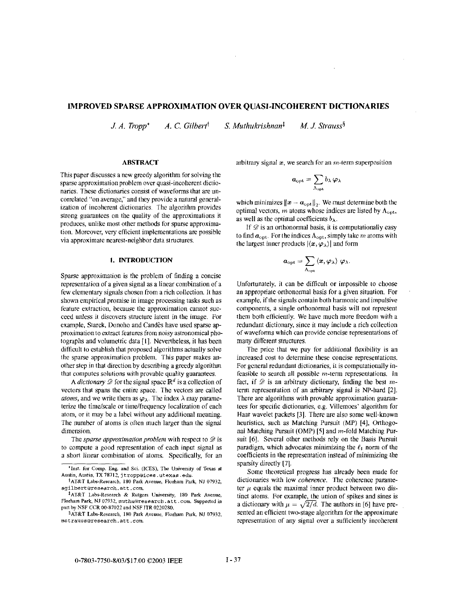# **IMPROVED SPARSE APPROXIMATION OVER QUASI-INCOHERENT DICTIONARIES**

 $\sim$ 

*J. A. Tropp*<sup>\*</sup> *A. C. Gilbert<sup>†</sup> S. Muthukrishnan<sup>‡</sup> <i>M. J. Strauss*<sup>§</sup>

### **ABSTRACT**

This paper discusses a new greedy algorithm for solving the sparse approximation problem over quasi-incoherent dictionaries. These dictionaries consist of waveforms that are uncorrelated "on average," and they provide a natural generalization of incoherent dictionaries. The algorithm provides strong guarantees on the quality of the approximations it produces, unlike most other methods for sparse approximation. Moreover, very efficient implementations are possible via approximate nearest-neighbor data structures.

### **1. INTRODUCTION**

Sparse approximation is the problem of finding a concise representation of a given signal as a linear comhination of a few elementary signals chosen from a rich collection. It has shown empirical promise in image processing tasks such **as**  feature extraction, because thc approximation cannot succeed unless it discovers structure latent in the image. For example, Starck, Donoho and Candes have used sparse approximation to extract features from noisy astronomical photographs and volumetric data [1]. Nevertheless, it has been difficult to estahlish that proposed algorithms actually solve the sparse approximation problem. This paper makes another step in that direction by describing a greedy algorithm that computes solutions with provable quality guarantees.

A *dictionary*  $\mathscr{D}$  for the signal space  $\mathbb{R}^d$  is a collection of vectors that spans the entire space. The vectors are called *atoms,* and we write them as  $\varphi_{\lambda}$ . The index  $\lambda$  may parameterize the time/scale or time/frequency localization of each atom, or it may he a label without any additional meaning. The number of atoms is often much larger than the signal dimension.

The *sparse approximation problem* with respect to  $\mathscr{D}$  is to compute a good representation of each input signal as a short linear comhination of atoms. Specifically, for an arbitrary signal  $x$ , we search for an  $m$ -term superposition

$$
\boldsymbol{a}_{\mathrm{opt}}=\sum_{\Lambda_{\mathrm{opt}}}b_{\lambda}\,\boldsymbol{\varphi}_{\lambda}
$$

which minimizes  $\|\boldsymbol{x} - \boldsymbol{a}_{\text{opt}}\|_2$ . We must determine both the optimal vectors, *m* atoms whose indices are listed by  $\Lambda_{\text{opt}}$ , as well as the optimal coefficients  $b_{\lambda}$ .

If  $\mathscr D$  is an orthonormal basis, it is computationally easy to find  $a_{\text{opt}}$ . For the indices  $A_{\text{opt}}$ , simply take  $m$  atoms with the largest inner products  $|\langle x, \varphi_{\lambda} \rangle|$  and form

$$
\boldsymbol{a}_{\mathrm{opt}} = \sum_{\Lambda_{\mathrm{opt}}} \left\langle \boldsymbol{x}, \boldsymbol{\varphi}_{\lambda} \right\rangle \, \boldsymbol{\varphi}_{\lambda}.
$$

Unfortunately, it can he difficult or impossible to choose an appropriate orthonormal basis for a given situation. For example, if the signals contain both harmonic and impulsive components, a single orthonormal basis will not represent them both efficiently. We have much more freedom with a redundant dictionary, since it may include a rich collection of waveforms which can provide concise representations of many different structures.

The price that we pay for additional flexibility is an increased cost to determine these concise representations. For general redundant dictionaries, it is computationally infeasible to search all possible m-term representations. In fact, if *9* is an arbitrary dictionary, finding the hest *m*term representation of an arbitrary signal is NP-hard [2]. There are algorithms with provable approximation guarantees for specific dictionaries, e.g. Villemoes' algorithm for Haar wavelet packets **[3].** There are also some well-known heuristics, such as Matching Pursuit (MP) [4], Orthogonal Matching Pursuit (OMP) **[SI** and m-fold Matching Pursuit [6]. Several other methods rely on the Basis Pursuit paradigm, which advocates minimizing the  $\ell_1$  norm of the coefficients in the representation instead of minimizing the sparsity directly [7].

Some theoretical progress has already been made for dictionaries with low *coherence.* The coherence parameter  $\mu$  equals the maximal inner product between two distinct atoms. For example, the union of spikes and sines is a dictionary with  $\mu = \sqrt{2/d}$ . The authors in [6] have presented an efficient two-stage algorithm for the approximate representation of any signal over a sufficiently incoherent

**<sup>&#</sup>x27;Inst. for Comp. Eng. and Sci.** (ICES), **The University of Texas** *at*  **Austin, Austin, TX** 78712, **j troppaices.utexas .edu.** 

**tAT&T Labs-Research.** 180 **Park Avenue, Flurham Park, NJ 07932. [a9ilbertaresearch.att.com](http://a9ilbertaresearch.att.com)** 

**iAT&l Labs-Research** & **Rutgers University,** 180 **Park Avenue, Plorllam Park, NJ 07932. muthuoresearch.att .con. Supported** in part by **NSF CCR 00-87022 and NSF 1lR 0220280.** 

**gAT&T Labs-Rzsearch, 180 Park Avenue, Florham Park. NI 07932. mstrauss~research.att.com.**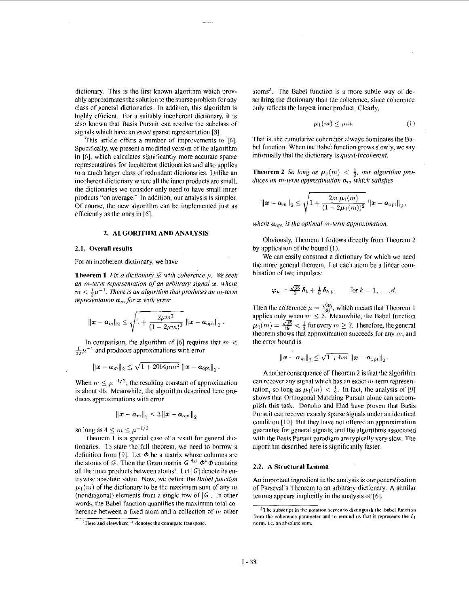dictionary. This is the first known algorithm which provably approximates the solution to the sparse problem for any class of general dictionaries. In addition, this algorithm is highly efficient. For a suitably incoherent dictionary, it is also known that Basis Pursuit can resolve the subclass of signals which have an *exact* sparse representation [8].

This article offers a number of improvements to [6]. Specifically, we present a modified version of the algorithm in [6], which calculates significantly more accurate sparse representations for incoherent dictionaries and also applies to a much larger class of redundant dictionaries. Unlike an incoherent dictionary where all the inner products are small, the dictionaries we consider only need to have small inner products "on average." In addition, our analysis is simpler. Of course, the new algorithm can be implemented just as efficiently as the ones in  $[6]$ .

### 2. ALGORITHM AND ANALYSIS

#### 2.1. Overall results

For an incoherent dictionary, we have

**Theorem 1** Fix a dictionary  $\mathscr{D}$  with coherence  $\mu$ . We seek an m-term representation of an arbitrary signal  $x$ , where  $m < \frac{1}{2}\mu^{-1}$ . There is an algorithm that produces an m-term representation  $a_m$  for  $x$  with error

$$
\|\bm{x}-\bm{a}_m\|_2 \leq \sqrt{1+\frac{2\mu m^2}{(1-2\mu m)^2}}\ \|\bm{x}-\bm{a}_{\rm opt}\|_2\ .
$$

In comparison, the algorithm of [6] requires that  $m <$  $\frac{1}{32}\mu^{-1}$  and produces approximations with error

$$
\|\boldsymbol{x}-\boldsymbol{a}_m\|_2 \leq \sqrt{1+2064\mu m^2} \, \left\|\boldsymbol{x}-\boldsymbol{a}_{\rm opt}\right\|_2.
$$

When  $m \leq \mu^{-1/2}$ , the resulting constant of approximation is about 46. Meanwhile, the algorithm described here produces approximations with error

$$
\left\|\bm{x}-\bm{a}_{m}\right\|_{2} \leq 3\left\|\bm{x}-\bm{a}_{\text{opt}}\right\|_{2}
$$

so long as  $4 \leq m \leq \mu^{-1/2}$ .

Theorem 1 is a special case of a result for general dictionaries. To state the full theorem, we need to borrow a definition from [9]. Let  $\Phi$  be a matrix whose columns are the atoms of  $\mathcal{D}$ . Then the Gram matrix  $G \stackrel{\text{def}}{=} \Phi^* \Phi$  contains all the inner products between atoms<sup>1</sup>. Let  $|G|$  denote its entrywise absolute value. Now, we define the Babel function  $\mu_1(m)$  of the dictionary to be the maximum sum of any m (nondiagonal) elements from a single row of  $|G|$ . In other words, the Babel function quantifies the maximum total coherence between a fixed atom and a collection of  $m$  other atoms<sup>2</sup>. The Babel function is a more subtle way of describing the dictionary than the coherence, since coherence only reflects the largest inner product. Clearly,

$$
\mu_1(m) \le \mu m. \tag{1}
$$

That is, the cumulative coherence always dominates the Babel function. When the Babel function grows slowly, we say informally that the dictionary is quasi-incoherent.

**Theorem 2** So long as  $\mu_1(m) < \frac{1}{2}$ , our algorithm produces an m-term approximation  $a_m$  which satisfies

$$
\|\boldsymbol{x}-\boldsymbol{a}_{m}\|_{2} \leq \sqrt{1+\frac{2m \,\mu_{1}(m)}{(1-2\mu_{1}(m))^{2}}}\,\left\|\boldsymbol{x}-\boldsymbol{a}_{\mathrm{opt}}\right\|_{2},
$$

where  $\mathbf{a}_{\text{opt}}$  is the optimal m-term approximation.

Obviously, Theorem 1 follows directly from Theorem 2 by application of the bound (1).

We can easily construct a dictionary for which we need the more general theorem. Let each atom be a linear combination of two impulses:

$$
\varphi_k = \frac{\sqrt{35}}{6} \, \delta_k + \tfrac{1}{6} \, \delta_{k+1} \qquad \text{for } k = 1, \ldots, d.
$$

Then the coherence  $\mu = \frac{\sqrt{35}}{36}$ , which means that Theorem 1<br>applies only when  $m \le 3$ . Meanwhile, the Babel function  $\mu_1(m) = \frac{\sqrt{35}}{18} < \frac{1}{3}$  for every  $m \ge 2$ . Therefore, the general theorem shows that approximation succeeds for any m, and the error bound is

$$
\|\boldsymbol{x}-\boldsymbol{a}_m\|_2 \leq \sqrt{1+6m} \|\boldsymbol{x}-\boldsymbol{a}_{\text{opt}}\|_2.
$$

Another consequence of Theorem 2 is that the algorithm can recover any signal which has an exact  $m$ -term representation, so long as  $\mu_1(m) < \frac{1}{2}$ . In fact, the analysis of [9] shows that Orthogonal Matching Pursuit alone can accomplish this task. Donoho and Elad have proven that Basis Pursuit can recover exactly sparse signals under an identical condition [10]. But they have not offered an approximation guarantee for general signals, and the algorithms associated with the Basis Pursuit paradigm are typically very slow. The algorithm described here is significantly faster.

## 2.2. A Structural Lemma

 $\mathsf{I}$ 

An important ingredient in the analysis is our generalization of Parseval's Theorem to an arbitrary dictionary. A similar lemma appears implicitly in the analysis of [6].

<sup>&</sup>lt;sup>1</sup>Here and elsewhere, <sup>+</sup> denotes the conjugate transpose.

<sup>&</sup>lt;sup>2</sup>The subscript in the notation serves to distinguish the Babel function from the coherence parameter and to remind us that it represents the  $\ell_1$ norm, i.e. an absolute sum.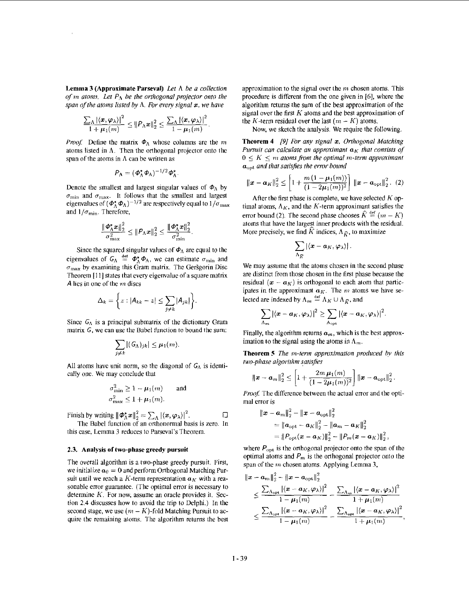**Lemma 3 (Approximate Parseval)** *Let* **A** *be a collection*   $q$ *f m* atoms. Let  $P_A$  be the orthogonal projector onto the *span of the atoms listed by*  $\Lambda$ *. For every signal x, we have* 

$$
\frac{\sum_{\Lambda} |\langle \boldsymbol{x}, \boldsymbol{\varphi}_{\lambda} \rangle|^2}{1 + \mu_1(m)} \leq {\|\boldsymbol{\varphi}_{\Lambda} \boldsymbol{x}\|_2^2} \leq \frac{\sum_{\Lambda} |\langle \boldsymbol{x}, \boldsymbol{\varphi}_{\lambda} \rangle|^2}{1 - \mu_1(m)}
$$

*Proof.* Define the matrix  $\Phi_{\Lambda}$  whose columns are the m atoms listed in A. Then the orthogonal projector onto the span of the atoms in A can be written as

$$
P_{\Lambda} = (\boldsymbol{\phi}_{\Lambda}^* \boldsymbol{\phi}_{\Lambda})^{-1/2} \boldsymbol{\phi}_{\Lambda}^*.
$$

Denote the smallest and largest singular values of  $\Phi_{\Lambda}$  by  $\sigma_{\min}$  and  $\sigma_{\max}$ . It follows that the smallest and largest Denote the smallest and largest singular values of  $\Phi_{\Lambda}$  b<br>  $\sigma_{\min}$  and  $\sigma_{\max}$ . It follows that the smallest and larges<br>
eigenvalues of  $(\Phi_{\Lambda}^* \Phi_{\Lambda})^{-1/2}$  are respectively equal to  $1/\sigma_{\text{m}}$ <br>  $\Phi_{\Lambda}$ and  $1/\sigma_{\text{min}}$ . Therefore,

$$
\frac{\|\boldsymbol{\varPhi}_{\Lambda}^*\boldsymbol{x}\|_2^2}{\sigma_{\max}^2} \leq \|\boldsymbol{\varPhi}_{\Lambda}^*\boldsymbol{x}\|_2^2 \leq \frac{\|\boldsymbol{\varPhi}_{\Lambda}^*\boldsymbol{x}\|_2^2}{\sigma_{\min}^2}.
$$

Since the squared singular values of  $\phi_A$  are equal to the eigenvalues of  $G_A \stackrel{\text{def}}{=} \vec{\Phi}_A^* \Phi_A$ , we can estimate  $\sigma_{\min}$  and  $\sigma_{\text{max}}$  by examining this Gram matrix. The Gersgorin Disc Theorem [I **11** states that every eigenvalue of a square matrix *A* lies in one of the *m* discs

$$
\Delta_k = \left\{ z : |A_{kk} - z| \leq \sum_{j \neq k} |A_{jk}| \right\}
$$

Since  $G_A$  is a principal submatrix of the dictionary Gram matrix  $G$ , we can use the Babel function to bound the sum:

$$
\sum_{j\neq k} |(G_{\Lambda})_{jk}| \leq \mu_1(m).
$$

All atoms have unit norm, so the diagonal of  $G_A$  is identically one. We may conclude that

$$
\sigma_{\min}^2 \ge 1 - \mu_1(m) \quad \text{and} \quad \sigma_{\max}^2 \le 1 + \mu_1(m).
$$

Finish by writing  $\|\boldsymbol{\phi}_{\Lambda}^* \boldsymbol{x}\|_2^2 = \sum_{\Lambda} |\langle \boldsymbol{x}, \boldsymbol{\varphi}_{\lambda} \rangle|^2$ .  $\square$ 

The Babel function of an orthonormal hasis is zero. In this case. Lemma *3* reduces to Parseval's Theorem.

### **2.3. Analysis of two-phase greedy pursuit**

The overall algorithm is a two-phase greedy pursuit. First, we initialize  $a_0 = 0$  and perform Orthogonal Matching Pursuit until we reach a K-term representation  $a<sub>K</sub>$  with a reasonahle error guarantee. (The optimal error is necessary to determine *K.* For now, assume an oracle provides it. **Sec**tion **2.4** discusses how to avoid the trip to Delphi.) In the second stage, we use  $(m - K)$ -fold Matching Pursuit to acquire the remaining atoms. The algorithm returns the best approximation to the signal over the  $m$  chosen atoms. This procedure is different from the one given in [6], where the algorithm returns the sum of the hest approximation of the signal over the first *K* atoms and the best approximation of the *K*-term residual over the last  $(m - K)$  atoms.

Now, we sketch the analysis. We require the following.

**Theorem 4** *191 For anv signal* **I,** *Ortliogonal Matching Pursuit can calculate an approximant*  $a<sub>K</sub>$  *that consists of*  $0 \leq K \leq m$  atoms from the optimal m-term approximant  $a<sub>opt</sub>$  *and that satisfies the error bound* 

$$
\|\boldsymbol{x} - \boldsymbol{a}_K\|_2^2 \le \left[1 + \frac{m\left(1 - \mu_1(m)\right)}{(1 - 2\mu_1(m))^2}\right] \|\boldsymbol{x} - \boldsymbol{a}_{\text{opt}}\|_2^2. (2)
$$

After the first phase is complete, we have selected *K* optimal atoms,  $\Lambda_K$ , and the K-term approximant satisfies the error bound (2). The second phase chooses  $\hat{K} \stackrel{\text{def}}{=} (m - K)$ atoms that have the largest inner products with the residual. More precisely, we find  $\hat{K}$  indices,  $\Lambda_{\hat{K}}$ , to maximize

$$
|\sum_{\Lambda_{\widehat{K}}}|\langle \pmb{x}-\pmb{a}_K, \pmb{\varphi}_\lambda\rangle|
$$

We may assume that the atoms chosen in the second phase are distinct from those chosen in the first phase because the residual  $(x - a_K)$  is orthogonal to each atom that participates in the approximant  $a_K$ . The  $m$  atoms we have selected are indexed by  $\Lambda_m \stackrel{\text{def}}{=} \Lambda_K \cup \Lambda_{\widehat{K}}$ , and

$$
\sum_{\Lambda_{\mathbf{m}}} \left|\langle \boldsymbol{x}-\boldsymbol{a}_{K}, \boldsymbol{\varphi}_{\lambda}\rangle\right|^{2} \geq \sum_{\Lambda_{\mathrm{opt}}} \left|\langle \boldsymbol{x}-\boldsymbol{a}_{K}, \boldsymbol{\varphi}_{\lambda}\rangle\right|^{2}.
$$

Finally, the algorithm returns  $a_m$ , which is the best approximation to the signal using the atoms in  $A_m$ .

**Theorem 5** *The m-term approximation produced by this two-phase algorithm satisfies* 

$$
\|\bm{x} - \bm{a}_m\|_2^2 \le \left[1 + \frac{2m \,\mu_1(m)}{(1 - 2\mu_1(m))^2}\right] \|\bm{x} - \bm{a}_{\text{opt}}\|_2^2
$$

*Proof.* The difference between the actual error and the optimal error is

$$
\|\boldsymbol{x} - \boldsymbol{a}_{m}\|_{2}^{2} - \|\boldsymbol{x} - \boldsymbol{a}_{\text{opt}}\|_{2}^{2}
$$
  
=  $\|\boldsymbol{a}_{\text{opt}} - \boldsymbol{a}_{K}\|_{2}^{2} - \|\boldsymbol{a}_{m} - \boldsymbol{a}_{K}\|_{2}^{2}$   
=  $\|\boldsymbol{P}_{\text{opt}}(\boldsymbol{x} - \boldsymbol{a}_{K})\|_{2}^{2} - \|\boldsymbol{P}_{m}(\boldsymbol{x} - \boldsymbol{a}_{K})\|_{2}^{2}$ ,

where  $P_{\text{opt}}$  is the orthogonal projector onto the span of the optimal atoms and  $P_m$  is the orthogonal projector onto the span of the  $m$  chosen atoms. Applying Lemma 3,

$$
\|x - a_m\|_2^2 - \|x - a_{\text{opt}}\|_2^2
$$
  
\$\leq \frac{\sum\_{\Lambda\_{\text{opt}}} |\langle x - a\_K, \varphi\_\lambda \rangle|^2}{1 - \mu\_1(m)} - \frac{\sum\_{\Lambda\_m} |\langle x - a\_K, \varphi\_\lambda \rangle|^2}{1 + \mu\_1(m)}\$  
\$\leq \frac{\sum\_{\Lambda\_{\text{opt}}} |\langle x - a\_K, \varphi\_\lambda \rangle|^2}{1 - \mu\_1(m)} - \frac{\sum\_{\Lambda\_{\text{opt}}} |\langle x - a\_K, \varphi\_\lambda \rangle|^2}{1 + \mu\_1(m)},